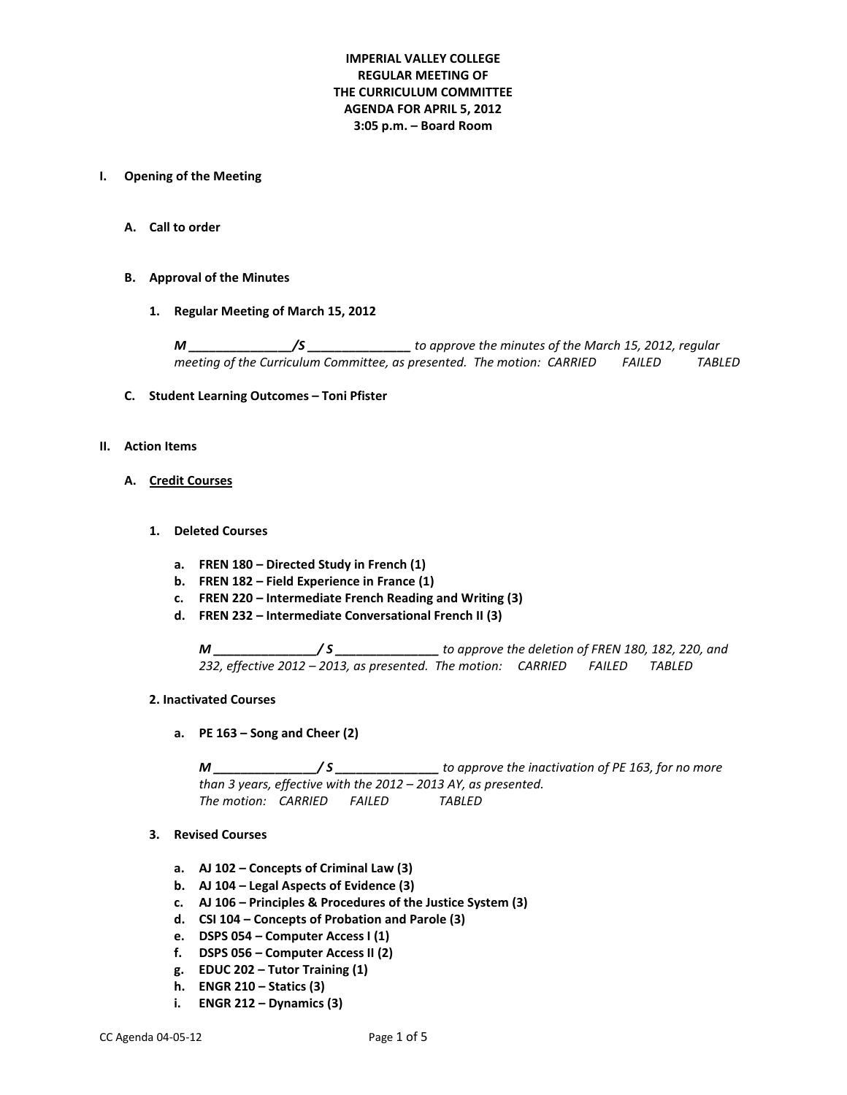# **IMPERIAL VALLEY COLLEGE REGULAR MEETING OF THE CURRICULUM COMMITTEE AGENDA FOR APRIL 5, 2012 3:05 p.m. – Board Room**

#### **I. Opening of the Meeting**

**A. Call to order**

#### **B. Approval of the Minutes**

**1. Regular Meeting of March 15, 2012**

*M \_\_\_\_\_\_\_\_\_\_\_\_\_\_\_/S \_\_\_\_\_\_\_\_\_\_\_\_\_\_\_ to approve the minutes of the March 15, 2012, regular meeting of the Curriculum Committee, as presented. The motion: CARRIED FAILED TABLED*

#### **C. Student Learning Outcomes – Toni Pfister**

#### **II. Action Items**

#### **A. Credit Courses**

- **1. Deleted Courses**
	- **a. FREN 180 – Directed Study in French (1)**
	- **b. FREN 182 – Field Experience in France (1)**
	- **c. FREN 220 – Intermediate French Reading and Writing (3)**
	- **d. FREN 232 – Intermediate Conversational French II (3)**

*M \_\_\_\_\_\_\_\_\_\_\_\_\_\_\_/ S \_\_\_\_\_\_\_\_\_\_\_\_\_\_\_ to approve the deletion of FREN 180, 182, 220, and 232, effective 2012 – 2013, as presented. The motion: CARRIED FAILED TABLED* 

#### **2. Inactivated Courses**

**a. PE 163 – Song and Cheer (2)** 

*M \_\_\_\_\_\_\_\_\_\_\_\_\_\_\_/ S \_\_\_\_\_\_\_\_\_\_\_\_\_\_\_ to approve the inactivation of PE 163, for no more than 3 years, effective with the 2012 – 2013 AY, as presented. The motion: CARRIED FAILED TABLED*

#### **3. Revised Courses**

- **a. AJ 102 – Concepts of Criminal Law (3)**
- **b. AJ 104 – Legal Aspects of Evidence (3)**
- **c. AJ 106 – Principles & Procedures of the Justice System (3)**
- **d. CSI 104 – Concepts of Probation and Parole (3)**
- **e. DSPS 054 – Computer Access I (1)**
- **f. DSPS 056 – Computer Access II (2)**
- **g. EDUC 202 – Tutor Training (1)**
- **h. ENGR 210 – Statics (3)**
- **i. ENGR 212 – Dynamics (3)**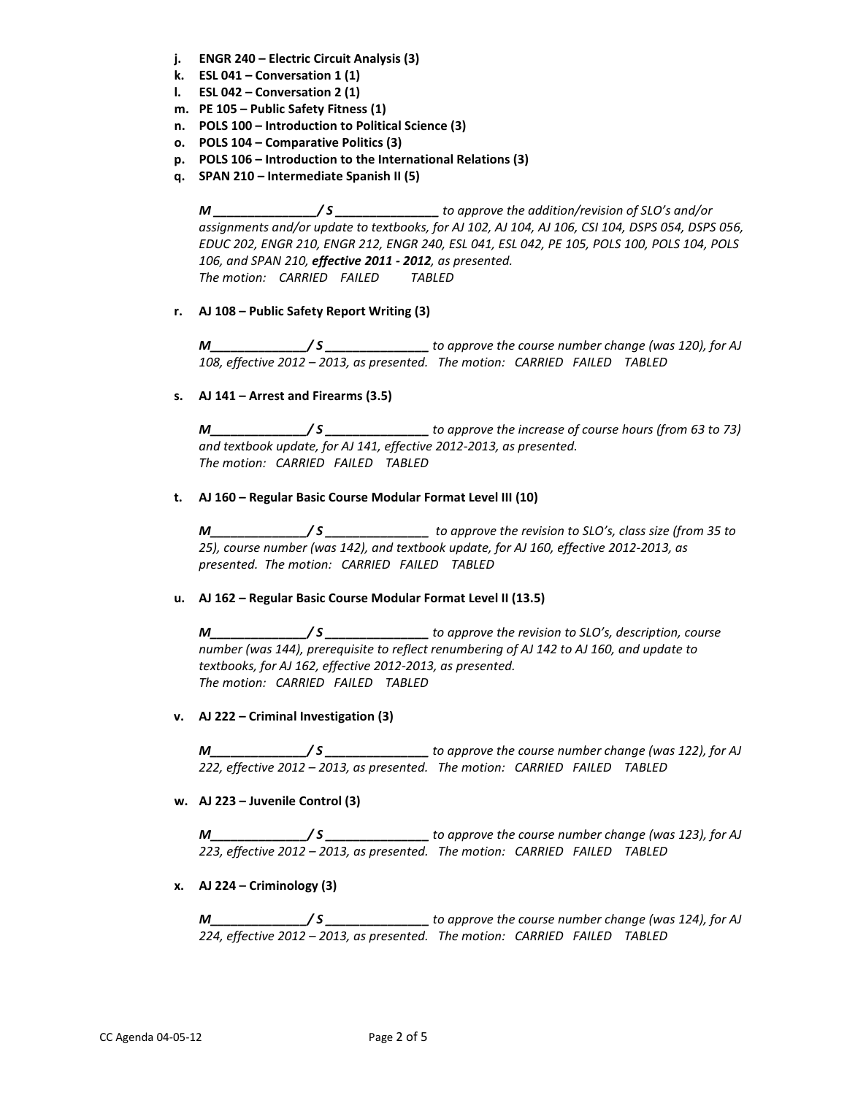- **j. ENGR 240 – Electric Circuit Analysis (3)**
- **k. ESL 041 – Conversation 1 (1)**
- **l. ESL 042 – Conversation 2 (1)**
- **m. PE 105 – Public Safety Fitness (1)**
- **n. POLS 100 – Introduction to Political Science (3)**
- **o. POLS 104 – Comparative Politics (3)**
- **p. POLS 106 – Introduction to the International Relations (3)**
- **q. SPAN 210 – Intermediate Spanish II (5)**

*M \_\_\_\_\_\_\_\_\_\_\_\_\_\_\_/ S \_\_\_\_\_\_\_\_\_\_\_\_\_\_\_ to approve the addition/revision of SLO's and/or assignments and/or update to textbooks, for AJ 102, AJ 104, AJ 106, CSI 104, DSPS 054, DSPS 056, EDUC 202, ENGR 210, ENGR 212, ENGR 240, ESL 041, ESL 042, PE 105, POLS 100, POLS 104, POLS 106, and SPAN 210, effective 2011 - 2012, as presented. The motion: CARRIED FAILED TABLED*

**r. AJ 108 – Public Safety Report Writing (3)**

*M\_\_\_\_\_\_\_\_\_\_\_\_\_\_/ S \_\_\_\_\_\_\_\_\_\_\_\_\_\_\_ to approve the course number change (was 120), for AJ 108, effective 2012 – 2013, as presented. The motion: CARRIED FAILED TABLED*

**s. AJ 141 – Arrest and Firearms (3.5)**

*M\_\_\_\_\_\_\_\_\_\_\_\_\_\_/ S \_\_\_\_\_\_\_\_\_\_\_\_\_\_\_ to approve the increase of course hours (from 63 to 73) and textbook update, for AJ 141, effective 2012-2013, as presented. The motion: CARRIED FAILED TABLED*

# **t. AJ 160 – Regular Basic Course Modular Format Level III (10)**

*M\_\_\_\_\_\_\_\_\_\_\_\_\_\_/ S \_\_\_\_\_\_\_\_\_\_\_\_\_\_\_ to approve the revision to SLO's, class size (from 35 to 25), course number (was 142), and textbook update, for AJ 160, effective 2012-2013, as presented. The motion: CARRIED FAILED TABLED*

# **u. AJ 162 – Regular Basic Course Modular Format Level II (13.5)**

*M\_\_\_\_\_\_\_\_\_\_\_\_\_\_/ S \_\_\_\_\_\_\_\_\_\_\_\_\_\_\_ to approve the revision to SLO's, description, course number (was 144), prerequisite to reflect renumbering of AJ 142 to AJ 160, and update to textbooks, for AJ 162, effective 2012-2013, as presented. The motion: CARRIED FAILED TABLED*

### **v. AJ 222 – Criminal Investigation (3)**

*M\_\_\_\_\_\_\_\_\_\_\_\_\_\_/ S \_\_\_\_\_\_\_\_\_\_\_\_\_\_\_ to approve the course number change (was 122), for AJ 222, effective 2012 – 2013, as presented. The motion: CARRIED FAILED TABLED*

# **w. AJ 223 – Juvenile Control (3)**

*M\_\_\_\_\_\_\_\_\_\_\_\_\_\_/ S \_\_\_\_\_\_\_\_\_\_\_\_\_\_\_ to approve the course number change (was 123), for AJ 223, effective 2012 – 2013, as presented. The motion: CARRIED FAILED TABLED*

**x. AJ 224 – Criminology (3)**

*M\_\_\_\_\_\_\_\_\_\_\_\_\_\_/ S \_\_\_\_\_\_\_\_\_\_\_\_\_\_\_ to approve the course number change (was 124), for AJ 224, effective 2012 – 2013, as presented. The motion: CARRIED FAILED TABLED*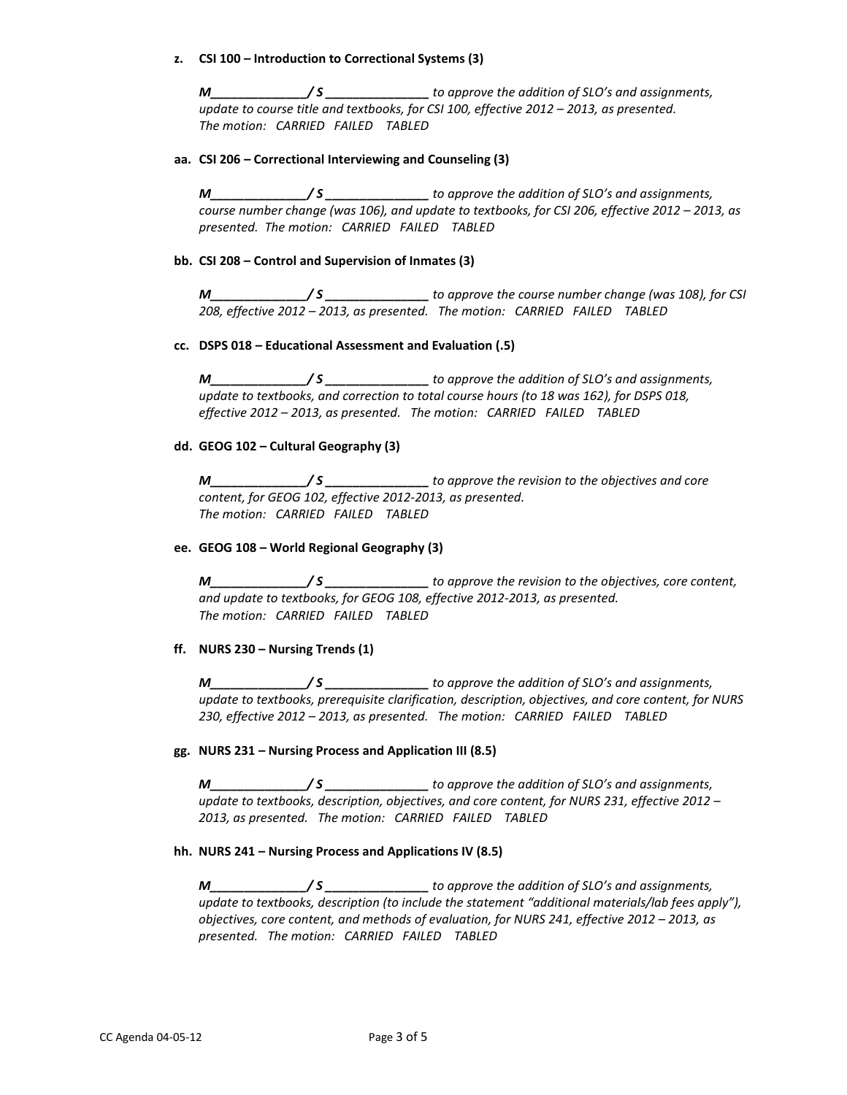### **z. CSI 100 – Introduction to Correctional Systems (3)**

*M\_\_\_\_\_\_\_\_\_\_\_\_\_\_/ S \_\_\_\_\_\_\_\_\_\_\_\_\_\_\_ to approve the addition of SLO's and assignments, update to course title and textbooks, for CSI 100, effective 2012 – 2013, as presented. The motion: CARRIED FAILED TABLED*

## **aa. CSI 206 – Correctional Interviewing and Counseling (3)**

*M\_\_\_\_\_\_\_\_\_\_\_\_\_\_/ S \_\_\_\_\_\_\_\_\_\_\_\_\_\_\_ to approve the addition of SLO's and assignments, course number change (was 106), and update to textbooks, for CSI 206, effective 2012 – 2013, as presented. The motion: CARRIED FAILED TABLED*

## **bb. CSI 208 – Control and Supervision of Inmates (3)**

*M\_\_\_\_\_\_\_\_\_\_\_\_\_\_/ S \_\_\_\_\_\_\_\_\_\_\_\_\_\_\_ to approve the course number change (was 108), for CSI 208, effective 2012 – 2013, as presented. The motion: CARRIED FAILED TABLED*

## **cc. DSPS 018 – Educational Assessment and Evaluation (.5)**

*M\_\_\_\_\_\_\_\_\_\_\_\_\_\_/ S \_\_\_\_\_\_\_\_\_\_\_\_\_\_\_ to approve the addition of SLO's and assignments, update to textbooks, and correction to total course hours (to 18 was 162), for DSPS 018, effective 2012 – 2013, as presented. The motion: CARRIED FAILED TABLED*

## **dd. GEOG 102 – Cultural Geography (3)**

*M\_\_\_\_\_\_\_\_\_\_\_\_\_\_/ S \_\_\_\_\_\_\_\_\_\_\_\_\_\_\_ to approve the revision to the objectives and core content, for GEOG 102, effective 2012-2013, as presented. The motion: CARRIED FAILED TABLED*

### **ee. GEOG 108 – World Regional Geography (3)**

*M\_\_\_\_\_\_\_\_\_\_\_\_\_\_/ S \_\_\_\_\_\_\_\_\_\_\_\_\_\_\_ to approve the revision to the objectives, core content, and update to textbooks, for GEOG 108, effective 2012-2013, as presented. The motion: CARRIED FAILED TABLED*

# **ff. NURS 230 – Nursing Trends (1)**

*M\_\_\_\_\_\_\_\_\_\_\_\_\_\_/ S \_\_\_\_\_\_\_\_\_\_\_\_\_\_\_ to approve the addition of SLO's and assignments, update to textbooks, prerequisite clarification, description, objectives, and core content, for NURS 230, effective 2012 – 2013, as presented. The motion: CARRIED FAILED TABLED*

### **gg. NURS 231 – Nursing Process and Application III (8.5)**

*M\_\_\_\_\_\_\_\_\_\_\_\_\_\_/ S \_\_\_\_\_\_\_\_\_\_\_\_\_\_\_ to approve the addition of SLO's and assignments, update to textbooks, description, objectives, and core content, for NURS 231, effective 2012 – 2013, as presented. The motion: CARRIED FAILED TABLED*

# **hh. NURS 241 – Nursing Process and Applications IV (8.5)**

*M\_\_\_\_\_\_\_\_\_\_\_\_\_\_/ S \_\_\_\_\_\_\_\_\_\_\_\_\_\_\_ to approve the addition of SLO's and assignments, update to textbooks, description (to include the statement "additional materials/lab fees apply"), objectives, core content, and methods of evaluation, for NURS 241, effective 2012 – 2013, as presented. The motion: CARRIED FAILED TABLED*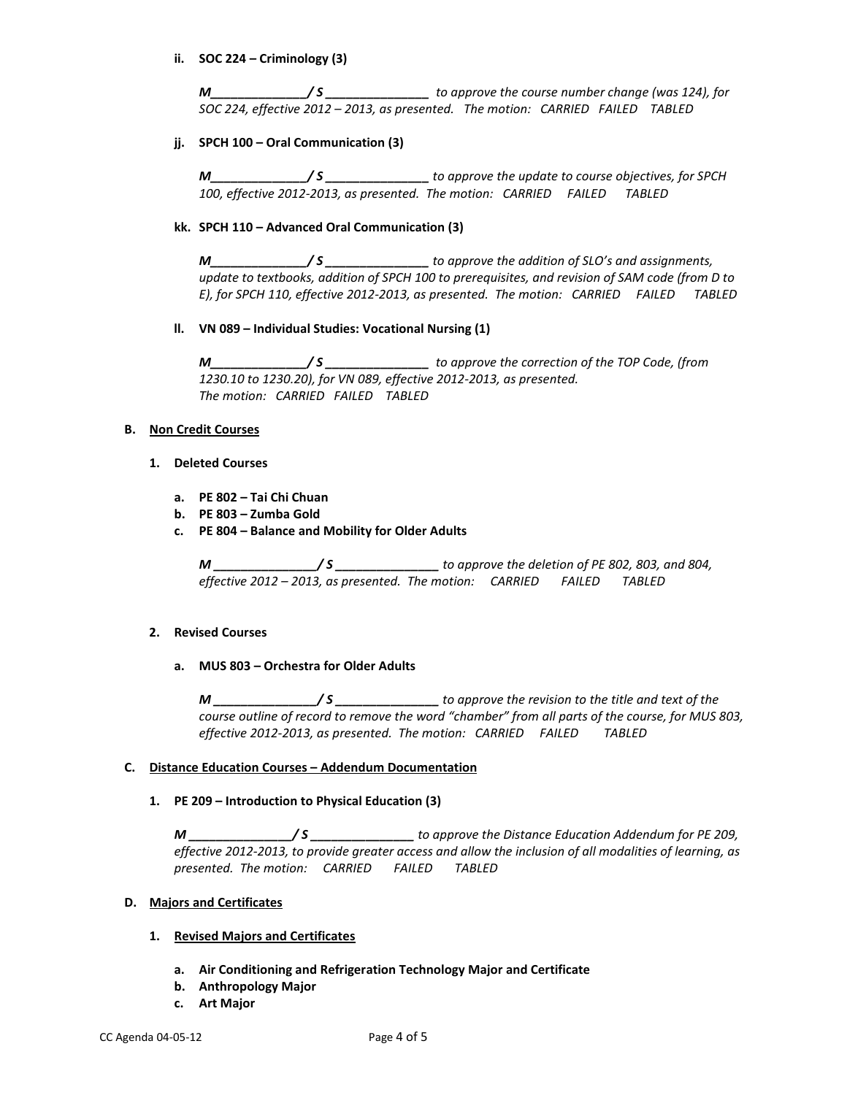## **ii. SOC 224 – Criminology (3)**

*M\_\_\_\_\_\_\_\_\_\_\_\_\_\_/ S \_\_\_\_\_\_\_\_\_\_\_\_\_\_\_ to approve the course number change (was 124), for SOC 224, effective 2012 – 2013, as presented. The motion: CARRIED FAILED TABLED*

## **jj. SPCH 100 – Oral Communication (3)**

*M\_\_\_\_\_\_\_\_\_\_\_\_\_\_/ S \_\_\_\_\_\_\_\_\_\_\_\_\_\_\_ to approve the update to course objectives, for SPCH 100, effective 2012-2013, as presented. The motion: CARRIED FAILED TABLED*

## **kk. SPCH 110 – Advanced Oral Communication (3)**

*M\_\_\_\_\_\_\_\_\_\_\_\_\_\_/ S \_\_\_\_\_\_\_\_\_\_\_\_\_\_\_ to approve the addition of SLO's and assignments, update to textbooks, addition of SPCH 100 to prerequisites, and revision of SAM code (from D to E), for SPCH 110, effective 2012-2013, as presented. The motion: CARRIED FAILED TABLED*

## **ll. VN 089 – Individual Studies: Vocational Nursing (1)**

*M\_\_\_\_\_\_\_\_\_\_\_\_\_\_/ S \_\_\_\_\_\_\_\_\_\_\_\_\_\_\_ to approve the correction of the TOP Code, (from 1230.10 to 1230.20), for VN 089, effective 2012-2013, as presented. The motion: CARRIED FAILED TABLED*

## **B. Non Credit Courses**

- **1. Deleted Courses**
	- **a. PE 802 – Tai Chi Chuan**
	- **b. PE 803 – Zumba Gold**
	- **c. PE 804 – Balance and Mobility for Older Adults**

*M \_\_\_\_\_\_\_\_\_\_\_\_\_\_\_/ S \_\_\_\_\_\_\_\_\_\_\_\_\_\_\_ to approve the deletion of PE 802, 803, and 804, effective 2012 – 2013, as presented. The motion: CARRIED FAILED TABLED*

### **2. Revised Courses**

**a. MUS 803 – Orchestra for Older Adults** 

*M \_\_\_\_\_\_\_\_\_\_\_\_\_\_\_/ S \_\_\_\_\_\_\_\_\_\_\_\_\_\_\_ to approve the revision to the title and text of the course outline of record to remove the word "chamber" from all parts of the course, for MUS 803, effective 2012-2013, as presented. The motion: CARRIED FAILED TABLED*

## **C. Distance Education Courses – Addendum Documentation**

**1. PE 209 – Introduction to Physical Education (3)**

*M \_\_\_\_\_\_\_\_\_\_\_\_\_\_\_/ S \_\_\_\_\_\_\_\_\_\_\_\_\_\_\_ to approve the Distance Education Addendum for PE 209, effective 2012-2013, to provide greater access and allow the inclusion of all modalities of learning, as presented. The motion: CARRIED FAILED TABLED*

### **D. Majors and Certificates**

### **1. Revised Majors and Certificates**

- **a. Air Conditioning and Refrigeration Technology Major and Certificate**
- **b. Anthropology Major**
- **c. Art Major**